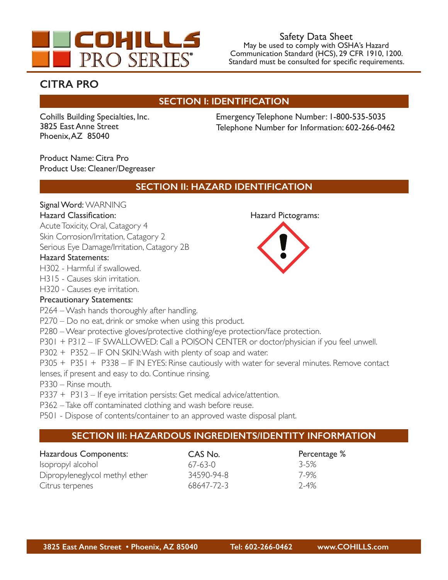

# **CITRA PRO**

# **SECTION I: IDENTIFICATION**

Cohills Building Specialties, Inc. 3825 East Anne Street Phoenix, AZ 85040

Emergency Telephone Number: 1-800-535-5035 Telephone Number for Information: 602-266-0462

Product Name: Citra Pro Product Use: Cleaner/Degreaser

# **SECTION II: HAZARD IDENTIFICATION**

### Signal Word: WARNING

#### Hazard Classification: Hazard Pictograms:

Acute Toxicity, Oral, Catagory 4

Skin Corrosion/Irritation, Catagory 2

Serious Eye Damage/Irritation, Catagory 2B

#### Hazard Statements:

H302 - Harmful if swallowed.

H315 - Causes skin irritation.

H320 - Causes eye irritation.

### Precautionary Statements:

P264 – Wash hands thoroughly after handling.

P270 – Do no eat, drink or smoke when using this product.

P280 – Wear protective gloves/protective clothing/eye protection/face protection.

P301 + P312 – IF SWALLOWED: Call a POISON CENTER or doctor/physician if you feel unwell.

P302 + P352 – IF ON SKIN: Wash with plenty of soap and water.

P305 + P351 + P338 – IF IN EYES: Rinse cautiously with water for several minutes. Remove contact

lenses, if present and easy to do. Continue rinsing.

P330 – Rinse mouth.

P337 + P313 – If eye irritation persists: Get medical advice/attention.

P362 – Take off contaminated clothing and wash before reuse.

P501 - Dispose of contents/container to an approved waste disposal plant.

# **SECTION III: HAZARDOUS INGREDIENTS/IDENTITY INFORMATION**

| Hazardous Components:          | CAS No.    | Percentage |
|--------------------------------|------------|------------|
| Isopropyl alcohol              | $67-63-0$  | $3 - 5%$   |
| Dipropyleneglycol methyl ether | 34590-94-8 | 7-9%       |
| Citrus terpenes                | 68647-72-3 | $7 - 4%$   |

 $%$ 

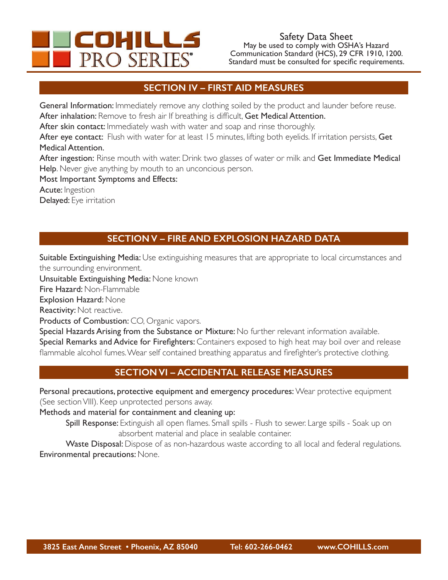

### **SECTION IV – FIRST AID MEASURES**

General Information: Immediately remove any clothing soiled by the product and launder before reuse. After inhalation: Remove to fresh air If breathing is difficult, Get Medical Attention.

After skin contact: Immediately wash with water and soap and rinse thoroughly.

After eye contact: Flush with water for at least 15 minutes, lifting both eyelids. If irritation persists, Get Medical Attention.

After ingestion: Rinse mouth with water. Drink two glasses of water or milk and Get Immediate Medical Help. Never give anything by mouth to an unconcious person.

Most Important Symptoms and Effects:

Acute: Ingestion

Delayed: Eye irritation

# **SECTION V – FIRE AND EXPLOSION HAZARD DATA**

Suitable Extinguishing Media: Use extinguishing measures that are appropriate to local circumstances and the surrounding environment.

Unsuitable Extinguishing Media: None known

Fire Hazard: Non-Flammable

Explosion Hazard: None

Reactivity: Not reactive.

Products of Combustion: CO, Organic vapors.

Special Hazards Arising from the Substance or Mixture: No further relevant information available. Special Remarks and Advice for Firefighters: Containers exposed to high heat may boil over and release flammable alcohol fumes. Wear self contained breathing apparatus and firefighter's protective clothing.

# **SECTION VI – ACCIDENTAL RELEASE MEASURES**

Personal precautions, protective equipment and emergency procedures: Wear protective equipment (See section VIII). Keep unprotected persons away.

Methods and material for containment and cleaning up:

Spill Response: Extinguish all open flames. Small spills - Flush to sewer. Large spills - Soak up on absorbent material and place in sealable container.

Waste Disposal: Dispose of as non-hazardous waste according to all local and federal regulations. Environmental precautions: None.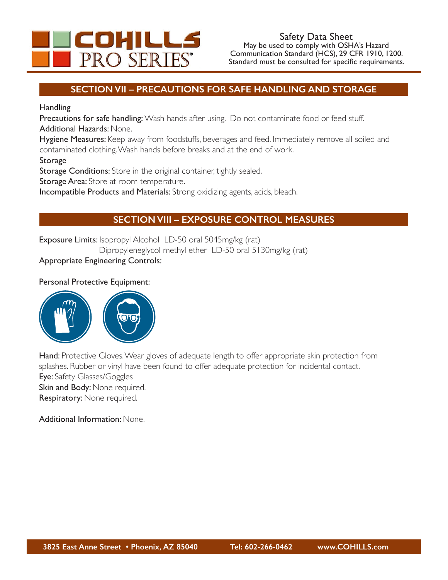

### **SECTION VII – PRECAUTIONS FOR SAFE HANDLING AND STORAGE**

**Handling** 

Precautions for safe handling: Wash hands after using. Do not contaminate food or feed stuff. Additional Hazards: None.

Hygiene Measures: Keep away from foodstuffs, beverages and feed. Immediately remove all soiled and contaminated clothing. Wash hands before breaks and at the end of work.

**Storage** 

Storage Conditions: Store in the original container, tightly sealed.

Storage Area: Store at room temperature.

Incompatible Products and Materials: Strong oxidizing agents, acids, bleach.

# **SECTION VIII – EXPOSURE CONTROL MEASURES**

Exposure Limits: Isopropyl Alcohol LD-50 oral 5045mg/kg (rat)

Dipropyleneglycol methyl ether LD-50 oral 5130mg/kg (rat)

### Appropriate Engineering Controls:

#### Personal Protective Equipment:



Hand: Protective Gloves. Wear gloves of adequate length to offer appropriate skin protection from splashes. Rubber or vinyl have been found to offer adequate protection for incidental contact. Eye: Safety Glasses/Goggles Skin and Body: None required. Respiratory: None required.

Additional Information: None.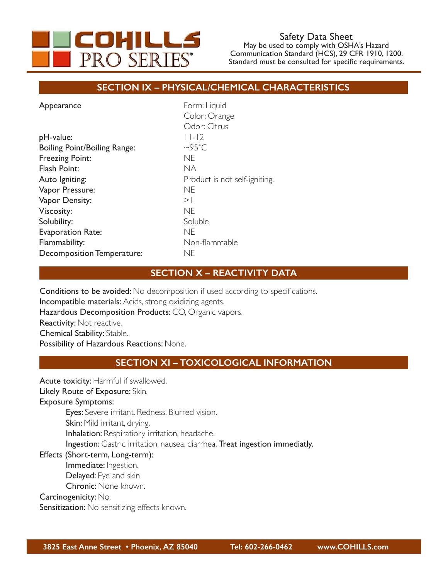

### **SECTION IX – PHYSICAL/CHEMICAL CHARACTERISTICS**

| Appearance                          | Form: Liquid                  |  |
|-------------------------------------|-------------------------------|--|
|                                     | Color: Orange                 |  |
|                                     | Odor: Citrus                  |  |
| pH-value:                           | $  - 2 $                      |  |
| <b>Boiling Point/Boiling Range:</b> | $\sim$ 95°C                   |  |
| <b>Freezing Point:</b>              | <b>NE</b>                     |  |
| Flash Point:                        | NA.                           |  |
| Auto Igniting:                      | Product is not self-igniting. |  |
| Vapor Pressure:                     | <b>NE</b>                     |  |
| Vapor Density:                      | $>$                           |  |
| Viscosity:                          | <b>NE</b>                     |  |
| Solubility:                         | Soluble                       |  |
| <b>Evaporation Rate:</b>            | <b>NE</b>                     |  |
| Flammability:                       | Non-flammable                 |  |
| <b>Decomposition Temperature:</b>   | <b>NE</b>                     |  |
|                                     |                               |  |

### **SECTION X – REACTIVITY DATA**

Conditions to be avoided: No decomposition if used according to specifications. Incompatible materials: Acids, strong oxidizing agents. Hazardous Decomposition Products: CO, Organic vapors. Reactivity: Not reactive. Chemical Stability: Stable. Possibility of Hazardous Reactions: None.

#### **SECTION XI – TOXICOLOGICAL INFORMATION**

Acute toxicity: Harmful if swallowed.

Likely Route of Exposure: Skin.

Exposure Symptoms:

Eyes: Severe irritant. Redness. Blurred vision.

Skin: Mild irritant, drying.

Inhalation: Respiratiory irritation, headache.

Ingestion: Gastric irritation, nausea, diarrhea. Treat ingestion immediatly.

### Effects (Short-term, Long-term):

- Immediate: Ingestion.
- Delayed: Eye and skin
- Chronic: None known.

Carcinogenicity: No.

Sensitization: No sensitizing effects known.